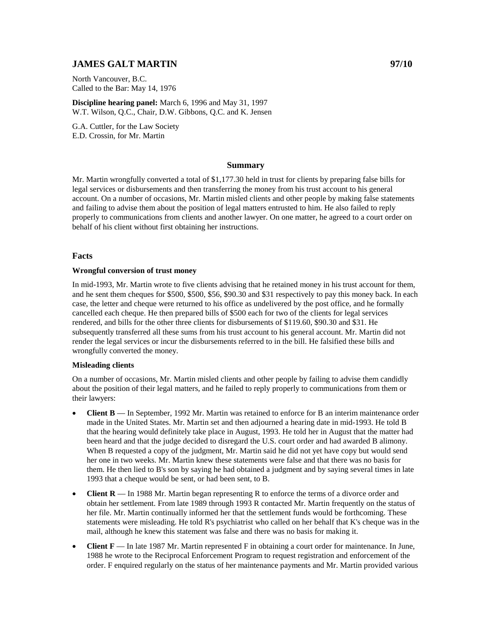# **JAMES GALT MARTIN 97/10**

North Vancouver, B.C. Called to the Bar: May 14, 1976

**Discipline hearing panel:** March 6, 1996 and May 31, 1997 W.T. Wilson, Q.C., Chair, D.W. Gibbons, Q.C. and K. Jensen

G.A. Cuttler, for the Law Society E.D. Crossin, for Mr. Martin

#### **Summary**

Mr. Martin wrongfully converted a total of \$1,177.30 held in trust for clients by preparing false bills for legal services or disbursements and then transferring the money from his trust account to his general account. On a number of occasions, Mr. Martin misled clients and other people by making false statements and failing to advise them about the position of legal matters entrusted to him. He also failed to reply properly to communications from clients and another lawyer. On one matter, he agreed to a court order on behalf of his client without first obtaining her instructions.

### **Facts**

#### **Wrongful conversion of trust money**

In mid-1993, Mr. Martin wrote to five clients advising that he retained money in his trust account for them, and he sent them cheques for \$500, \$500, \$56, \$90.30 and \$31 respectively to pay this money back. In each case, the letter and cheque were returned to his office as undelivered by the post office, and he formally cancelled each cheque. He then prepared bills of \$500 each for two of the clients for legal services rendered, and bills for the other three clients for disbursements of \$119.60, \$90.30 and \$31. He subsequently transferred all these sums from his trust account to his general account. Mr. Martin did not render the legal services or incur the disbursements referred to in the bill. He falsified these bills and wrongfully converted the money.

#### **Misleading clients**

On a number of occasions, Mr. Martin misled clients and other people by failing to advise them candidly about the position of their legal matters, and he failed to reply properly to communications from them or their lawyers:

- **Client B** In September, 1992 Mr. Martin was retained to enforce for B an interim maintenance order made in the United States. Mr. Martin set and then adjourned a hearing date in mid-1993. He told B that the hearing would definitely take place in August, 1993. He told her in August that the matter had been heard and that the judge decided to disregard the U.S. court order and had awarded B alimony. When B requested a copy of the judgment, Mr. Martin said he did not yet have copy but would send her one in two weeks. Mr. Martin knew these statements were false and that there was no basis for them. He then lied to B's son by saying he had obtained a judgment and by saying several times in late 1993 that a cheque would be sent, or had been sent, to B.
- **Client R** In 1988 Mr. Martin began representing R to enforce the terms of a divorce order and obtain her settlement. From late 1989 through 1993 R contacted Mr. Martin frequently on the status of her file. Mr. Martin continually informed her that the settlement funds would be forthcoming. These statements were misleading. He told R's psychiatrist who called on her behalf that K's cheque was in the mail, although he knew this statement was false and there was no basis for making it.
- **Client F** In late 1987 Mr. Martin represented F in obtaining a court order for maintenance. In June, 1988 he wrote to the Reciprocal Enforcement Program to request registration and enforcement of the order. F enquired regularly on the status of her maintenance payments and Mr. Martin provided various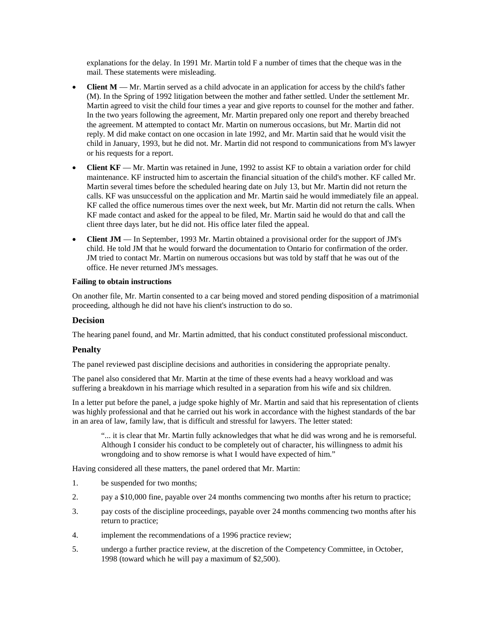explanations for the delay. In 1991 Mr. Martin told F a number of times that the cheque was in the mail. These statements were misleading.

- **Client M** Mr. Martin served as a child advocate in an application for access by the child's father (M). In the Spring of 1992 litigation between the mother and father settled. Under the settlement Mr. Martin agreed to visit the child four times a year and give reports to counsel for the mother and father. In the two years following the agreement, Mr. Martin prepared only one report and thereby breached the agreement. M attempted to contact Mr. Martin on numerous occasions, but Mr. Martin did not reply. M did make contact on one occasion in late 1992, and Mr. Martin said that he would visit the child in January, 1993, but he did not. Mr. Martin did not respond to communications from M's lawyer or his requests for a report.
- **Client KF** Mr. Martin was retained in June, 1992 to assist KF to obtain a variation order for child maintenance. KF instructed him to ascertain the financial situation of the child's mother. KF called Mr. Martin several times before the scheduled hearing date on July 13, but Mr. Martin did not return the calls. KF was unsuccessful on the application and Mr. Martin said he would immediately file an appeal. KF called the office numerous times over the next week, but Mr. Martin did not return the calls. When KF made contact and asked for the appeal to be filed, Mr. Martin said he would do that and call the client three days later, but he did not. His office later filed the appeal.
- **Client JM** In September, 1993 Mr. Martin obtained a provisional order for the support of JM's child. He told JM that he would forward the documentation to Ontario for confirmation of the order. JM tried to contact Mr. Martin on numerous occasions but was told by staff that he was out of the office. He never returned JM's messages.

### **Failing to obtain instructions**

On another file, Mr. Martin consented to a car being moved and stored pending disposition of a matrimonial proceeding, although he did not have his client's instruction to do so.

## **Decision**

The hearing panel found, and Mr. Martin admitted, that his conduct constituted professional misconduct.

# **Penalty**

The panel reviewed past discipline decisions and authorities in considering the appropriate penalty.

The panel also considered that Mr. Martin at the time of these events had a heavy workload and was suffering a breakdown in his marriage which resulted in a separation from his wife and six children.

In a letter put before the panel, a judge spoke highly of Mr. Martin and said that his representation of clients was highly professional and that he carried out his work in accordance with the highest standards of the bar in an area of law, family law, that is difficult and stressful for lawyers. The letter stated:

"... it is clear that Mr. Martin fully acknowledges that what he did was wrong and he is remorseful. Although I consider his conduct to be completely out of character, his willingness to admit his wrongdoing and to show remorse is what I would have expected of him."

Having considered all these matters, the panel ordered that Mr. Martin:

- 1. be suspended for two months;
- 2. pay a \$10,000 fine, payable over 24 months commencing two months after his return to practice;
- 3. pay costs of the discipline proceedings, payable over 24 months commencing two months after his return to practice;
- 4. implement the recommendations of a 1996 practice review;
- 5. undergo a further practice review, at the discretion of the Competency Committee, in October, 1998 (toward which he will pay a maximum of \$2,500).